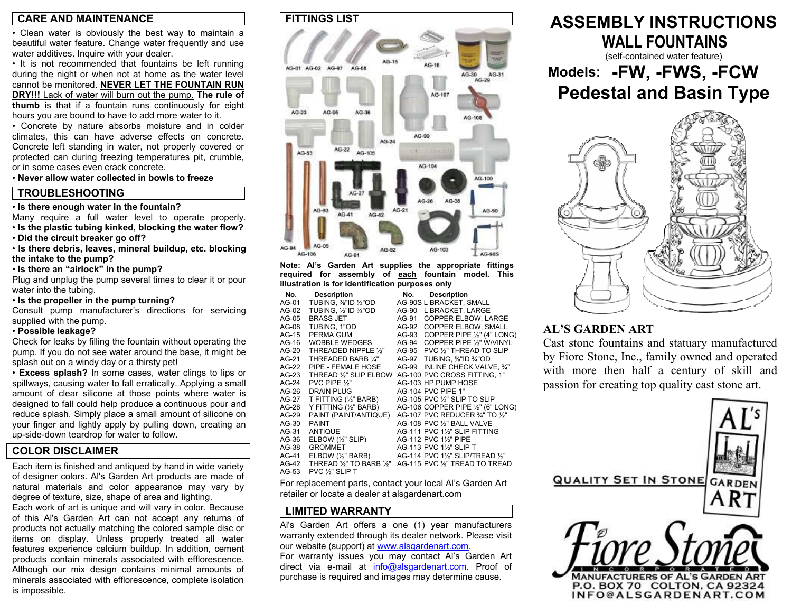### **CARE AND MAINTENANCE**

• Clean water is obviously the best way to maintain a beautiful water feature. Change water frequently and use water additives. Inquire with your dealer.

• It is not recommended that fountains be left running during the night or when not at home as the water level cannot be monitored. **NEVER LET THE FOUNTAIN RUN DRY!!!** Lack of water will burn out the pump. **The rule of thumb** is that if a fountain runs continuously for eight hours you are bound to have to add more water to it.

• Concrete by nature absorbs moisture and in colder climates, this can have adverse effects on concrete. Concrete left standing in water, not properly covered or protected can during freezing temperatures pit, crumble, or in some cases even crack concrete.

• **Never allow water collected in bowls to freeze**

### **TROUBLESHOOTING**

• **Is there enough water in the fountain?** 

Many require a full water level to operate properly. • **Is the plastic tubing kinked, blocking the water flow?** 

• **Did the circuit breaker go off?** 

• **Is there debris, leaves, mineral buildup, etc. blocking the intake to the pump?** 

• **Is there an "airlock" in the pump?** 

Plug and unplug the pump several times to clear it or pour water into the tubing.

• **Is the propeller in the pump turning?** 

Consult pump manufacturer's directions for servicing supplied with the pump.

### • **Possible leakage?**

Check for leaks by filling the fountain without operating the pump. If you do not see water around the base, it might be splash out on a windy day or a thirsty pet!

• **Excess splash?** In some cases, water clings to lips or spillways, causing water to fall erratically. Applying a small amount of clear silicone at those points where water is designed to fall could help produce a continuous pour and reduce splash. Simply place a small amount of silicone on your finger and lightly apply by pulling down, creating an up-side-down teardrop for water to follow.

### **COLOR DISCLAIMER**

Each item is finished and antiqued by hand in wide variety of designer colors. Al's Garden Art products are made of natural materials and color appearance may vary by degree of texture, size, shape of area and lighting.

Each work of art is unique and will vary in color. Because of this Al's Garden Art can not accept any returns of products not actually matching the colored sample disc or items on display. Unless properly treated all water features experience calcium buildup. In addition, cement products contain minerals associated with efflorescence. Although our mix design contains minimal amounts of minerals associated with efflorescence, complete isolation is impossible.

### **FITTINGS LIST**



**Note: Al's Garden Art supplies the appropriate fittings required for assembly of each fountain model. This illustration is for identification purposes only** 

| No.     | <b>Description</b>              | No.   | <b>Description</b>                |
|---------|---------------------------------|-------|-----------------------------------|
| AG-01   | TUBING, 1/8"ID 1/2"OD           |       | AG-90S L BRACKET, SMALL           |
| AG-02   | TUBING. 1/2"ID %"OD             | AG-90 | L BRACKET, LARGE                  |
| AG-05   | <b>BRASS JET</b>                | AG-91 | <b>COPPER ELBOW. LARGE</b>        |
| AG-08   | TUBING, 1"OD                    | AG-92 | <b>COPPER ELBOW, SMALL</b>        |
| AG-15   | PERMA GUM                       | AG-93 | COPPER PIPE 1/2" (4" LONG)        |
| AG-16   | <b>WOBBLE WEDGES</b>            | AG-94 | COPPER PIPE 1/2" W/VINYL          |
| $AG-20$ | THREADED NIPPLE 1/3"            | AG-95 | PVC 1/2" THREAD TO SLIP           |
| AG-21   | THREADED BARB 1/4"              | AG-97 | TUBING, %"ID %"OD                 |
| AG-22   | PIPE - FEMALE HOSE              | AG-99 | INLINE CHECK VALVE, 3/4"          |
| $AG-23$ | THREAD 1/3" SLIP ELBOW          |       | AG-100 PVC CROSS FITTING, 1"      |
| $AG-24$ | PVC PIPE $\frac{1}{2}$ "        |       | AG-103 HP PUMP HOSE               |
| AG-26   | <b>DRAIN PLUG</b>               |       | AG-104 PVC PIPE 1"                |
| AG-27   | T FITTING (1/2" BARB)           |       | AG-105 PVC 1/2" SLIP TO SLIP      |
| AG-28   | Y FITTING (1/2" BARB)           |       | AG-106 COPPER PIPE 1/2" (6" LONG) |
| AG-29   | PAINT (PAINT/ANTIQUE)           |       | AG-107 PVC REDUCER 3/4" TO 1/2"   |
| AG-30   | <b>PAINT</b>                    |       | AG-108 PVC 1/2" BALL VALVE        |
| AG-31   | <b>ANTIQUE</b>                  |       | AG-111 PVC 1½" SLIP FITTING       |
| AG-36   | $E$ LBOW $(\frac{1}{2}$ " SLIP) |       | AG-112 PVC 11/2" PIPE             |
| AG-38   | <b>GROMMET</b>                  |       | AG-113 PVC 11/2" SLIP T           |
| AG-41   | ELBOW (1/2" BARB)               |       | AG-114 PVC 11/2" SLIP/TREAD 1/2"  |
| $AG-42$ | THREAD 1/2" TO BARB 1/2"        |       | AG-115 PVC 1/2" TREAD TO TREAD    |
| $AG-53$ | PVC 1/ <sub>2</sub> " SLIP T    |       |                                   |

For replacement parts, contact your local Al's Garden Art retailer or locate a dealer at alsgardenart.com

### **LIMITED WARRANTY**

Al's Garden Art offers a one (1) year manufacturers warranty extended through its dealer network. Please visit our website (support) at www.alsgardenart.com. For warranty issues you may contact Al's Garden Art

direct via e-mail at info@alsgardenart.com. Proof of purchase is required and images may determine cause.

### **ASSEMBLY INSTRUCTIONS WALL FOUNTAINS**(self-contained water feature) **Models: -FW, -FWS, -FCW**

# **Pedestal and Basin Type**



### **AL'S GARDEN ART**

Cast stone fountains and statuary manufacture d by Fiore Stone, Inc., family owned and operate dwith more then half a century of skill an d passion for creating top quality cast stone art.